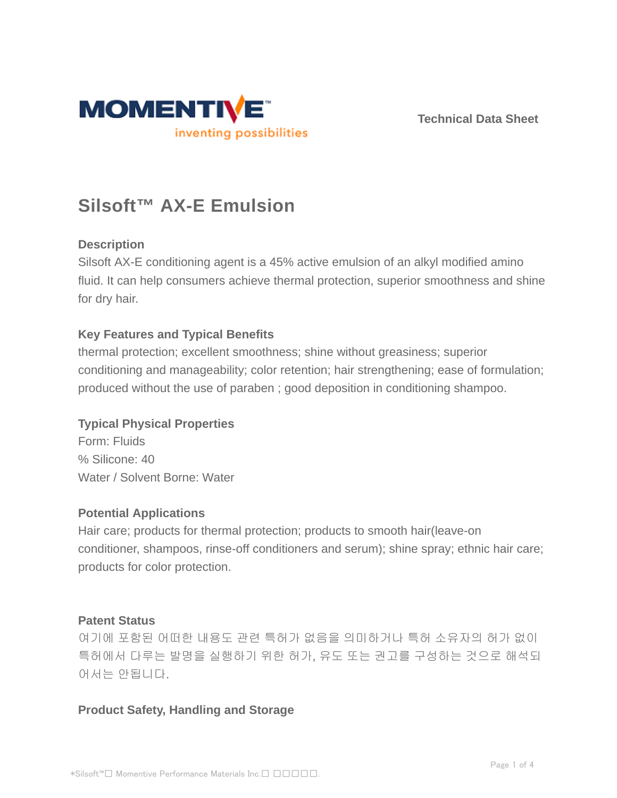

**Technical Data Sheet**

# **Silsoft™ AX-E Emulsion**

# **Description**

Silsoft AX-E conditioning agent is a 45% active emulsion of an alkyl modified amino fluid. It can help consumers achieve thermal protection, superior smoothness and shine for dry hair.

### **Key Features and Typical Benefits**

thermal protection; excellent smoothness; shine without greasiness; superior conditioning and manageability; color retention; hair strengthening; ease of formulation; produced without the use of paraben ; good deposition in conditioning shampoo.

### **Typical Physical Properties**

Form: Fluids % Silicone: 40 Water / Solvent Borne: Water

#### **Potential Applications**

Hair care; products for thermal protection; products to smooth hair(leave-on conditioner, shampoos, rinse-off conditioners and serum); shine spray; ethnic hair care; products for color protection.

#### **Patent Status**

여기에 포함된 어떠한 내용도 관련 특허가 없음을 의미하거나 특허 소유자의 허가 없이 특허에서 다루는 발명을 실행하기 위한 허가, 유도 또는 권고를 구성하는 것으로 해석되 어서는 안됩니다 .

### **Product Safety, Handling and Storage**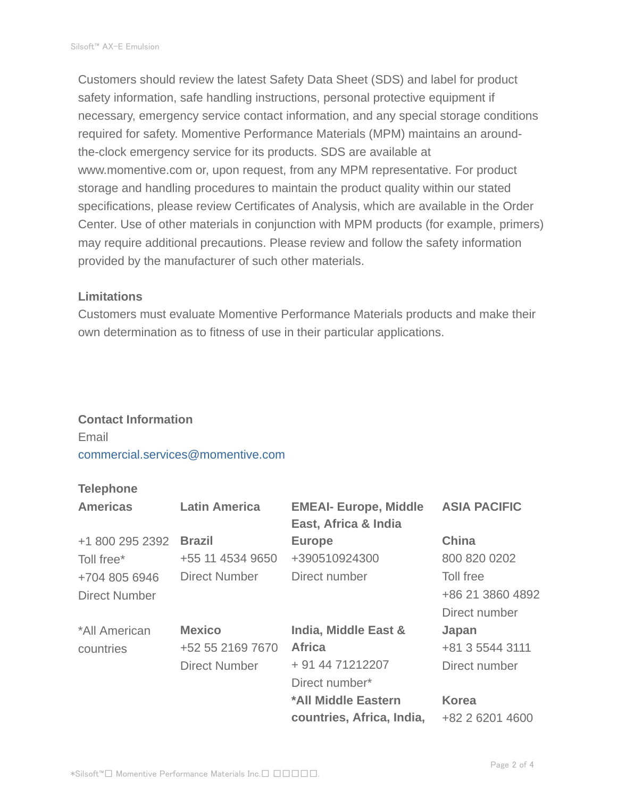Customers should review the latest Safety Data Sheet (SDS) and label for product safety information, safe handling instructions, personal protective equipment if necessary, emergency service contact information, and any special storage conditions required for safety. Momentive Performance Materials (MPM) maintains an aroundthe-clock emergency service for its products. SDS are available at www.momentive.com or, upon request, from any MPM representative. For product storage and handling procedures to maintain the product quality within our stated specifications, please review Certificates of Analysis, which are available in the Order Center. Use of other materials in conjunction with MPM products (for example, primers) may require additional precautions. Please review and follow the safety information provided by the manufacturer of such other materials.

#### **Limitations**

Customers must evaluate Momentive Performance Materials products and make their own determination as to fitness of use in their particular applications.

### **Contact Information**

Email commercial.services@momentive.com

## **Telephone**

| <b>Americas</b>      | <b>Latin America</b> | <b>EMEAI- Europe, Middle</b><br>East, Africa & India | <b>ASIA PACIFIC</b> |
|----------------------|----------------------|------------------------------------------------------|---------------------|
| +1 800 295 2392      | <b>Brazil</b>        | <b>Europe</b>                                        | <b>China</b>        |
| Toll free*           | +55 11 4534 9650     | +390510924300                                        | 800 820 0202        |
| +704 805 6946        | <b>Direct Number</b> | Direct number                                        | Toll free           |
| <b>Direct Number</b> |                      |                                                      | +86 21 3860 4892    |
|                      |                      |                                                      | Direct number       |
| *All American        | <b>Mexico</b>        | India, Middle East &                                 | Japan               |
| countries            | +52 55 2169 7670     | <b>Africa</b>                                        | +81 3 5544 3111     |
|                      | <b>Direct Number</b> | + 91 44 71212207                                     | Direct number       |
|                      |                      | Direct number*                                       |                     |
|                      |                      | *All Middle Eastern                                  | <b>Korea</b>        |
|                      |                      | countries, Africa, India,                            | +82 2 6201 4600     |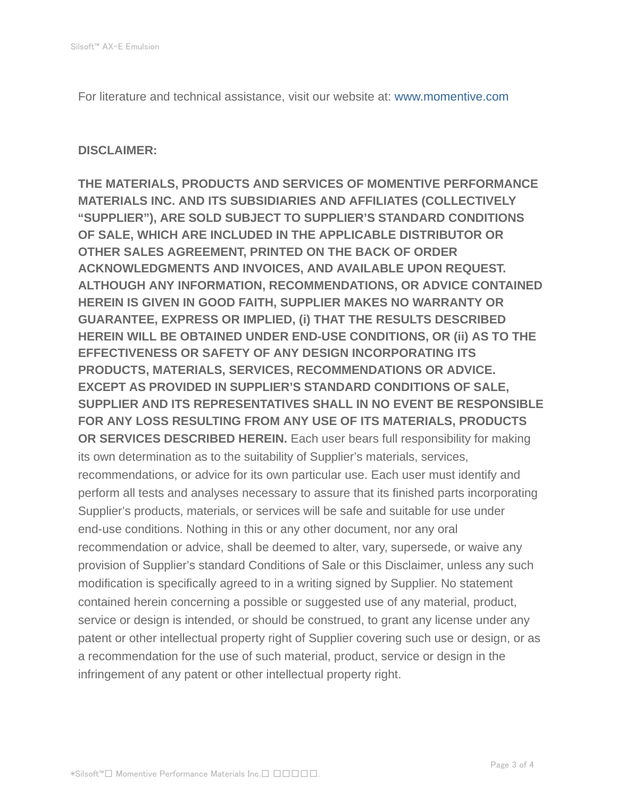For literature and technical assistance, visit our website at: www.momentive.com

#### **DISCLAIMER:**

**THE MATERIALS, PRODUCTS AND SERVICES OF MOMENTIVE PERFORMANCE MATERIALS INC. AND ITS SUBSIDIARIES AND AFFILIATES (COLLECTIVELY "SUPPLIER"), ARE SOLD SUBJECT TO SUPPLIER'S STANDARD CONDITIONS OF SALE, WHICH ARE INCLUDED IN THE APPLICABLE DISTRIBUTOR OR OTHER SALES AGREEMENT, PRINTED ON THE BACK OF ORDER ACKNOWLEDGMENTS AND INVOICES, AND AVAILABLE UPON REQUEST. ALTHOUGH ANY INFORMATION, RECOMMENDATIONS, OR ADVICE CONTAINED HEREIN IS GIVEN IN GOOD FAITH, SUPPLIER MAKES NO WARRANTY OR GUARANTEE, EXPRESS OR IMPLIED, (i) THAT THE RESULTS DESCRIBED HEREIN WILL BE OBTAINED UNDER END-USE CONDITIONS, OR (ii) AS TO THE EFFECTIVENESS OR SAFETY OF ANY DESIGN INCORPORATING ITS PRODUCTS, MATERIALS, SERVICES, RECOMMENDATIONS OR ADVICE. EXCEPT AS PROVIDED IN SUPPLIER'S STANDARD CONDITIONS OF SALE, SUPPLIER AND ITS REPRESENTATIVES SHALL IN NO EVENT BE RESPONSIBLE FOR ANY LOSS RESULTING FROM ANY USE OF ITS MATERIALS, PRODUCTS OR SERVICES DESCRIBED HEREIN.** Each user bears full responsibility for making its own determination as to the suitability of Supplier's materials, services, recommendations, or advice for its own particular use. Each user must identify and perform all tests and analyses necessary to assure that its finished parts incorporating Supplier's products, materials, or services will be safe and suitable for use under end-use conditions. Nothing in this or any other document, nor any oral recommendation or advice, shall be deemed to alter, vary, supersede, or waive any provision of Supplier's standard Conditions of Sale or this Disclaimer, unless any such modification is specifically agreed to in a writing signed by Supplier. No statement contained herein concerning a possible or suggested use of any material, product, service or design is intended, or should be construed, to grant any license under any patent or other intellectual property right of Supplier covering such use or design, or as a recommendation for the use of such material, product, service or design in the infringement of any patent or other intellectual property right.